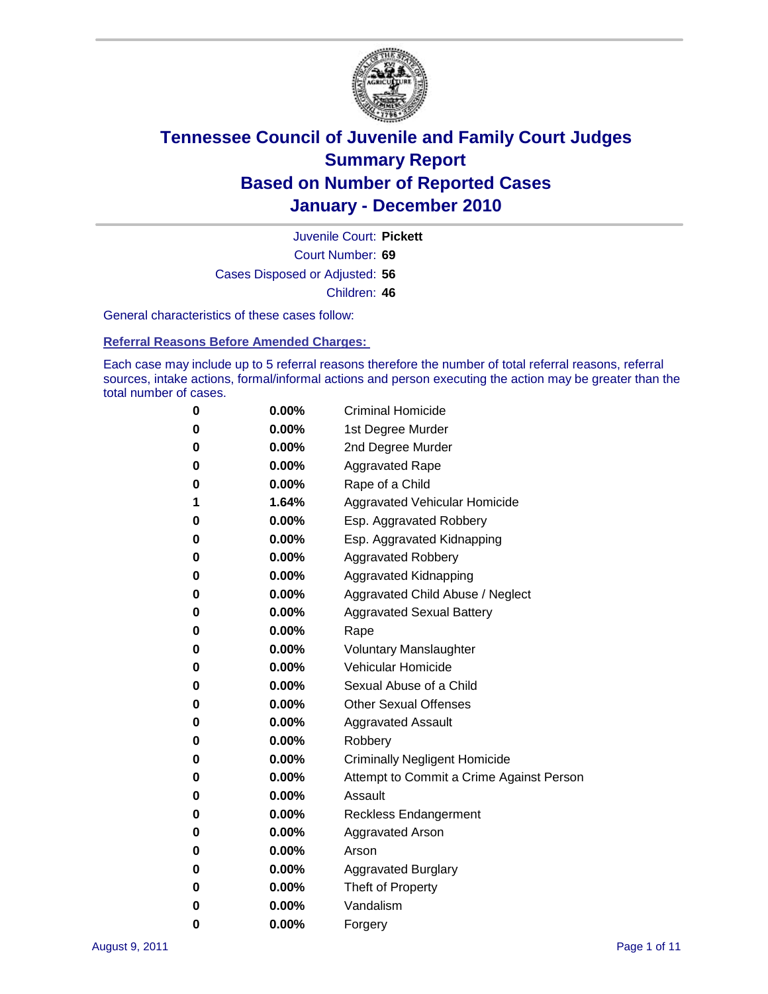

Court Number: **69** Juvenile Court: **Pickett** Cases Disposed or Adjusted: **56** Children: **46**

General characteristics of these cases follow:

**Referral Reasons Before Amended Charges:** 

Each case may include up to 5 referral reasons therefore the number of total referral reasons, referral sources, intake actions, formal/informal actions and person executing the action may be greater than the total number of cases.

| 0 | $0.00\%$ | <b>Criminal Homicide</b>                 |
|---|----------|------------------------------------------|
| 0 | 0.00%    | 1st Degree Murder                        |
| 0 | $0.00\%$ | 2nd Degree Murder                        |
| 0 | $0.00\%$ | <b>Aggravated Rape</b>                   |
| 0 | 0.00%    | Rape of a Child                          |
| 1 | 1.64%    | Aggravated Vehicular Homicide            |
| 0 | $0.00\%$ | Esp. Aggravated Robbery                  |
| 0 | $0.00\%$ | Esp. Aggravated Kidnapping               |
| 0 | 0.00%    | <b>Aggravated Robbery</b>                |
| 0 | $0.00\%$ | Aggravated Kidnapping                    |
| 0 | $0.00\%$ | Aggravated Child Abuse / Neglect         |
| 0 | 0.00%    | <b>Aggravated Sexual Battery</b>         |
| 0 | 0.00%    | Rape                                     |
| 0 | $0.00\%$ | <b>Voluntary Manslaughter</b>            |
| 0 | 0.00%    | Vehicular Homicide                       |
| 0 | 0.00%    | Sexual Abuse of a Child                  |
| 0 | $0.00\%$ | <b>Other Sexual Offenses</b>             |
| 0 | $0.00\%$ | <b>Aggravated Assault</b>                |
| 0 | $0.00\%$ | Robbery                                  |
| 0 | 0.00%    | <b>Criminally Negligent Homicide</b>     |
| 0 | $0.00\%$ | Attempt to Commit a Crime Against Person |
| 0 | 0.00%    | Assault                                  |
| 0 | $0.00\%$ | <b>Reckless Endangerment</b>             |
| 0 | $0.00\%$ | <b>Aggravated Arson</b>                  |
| 0 | $0.00\%$ | Arson                                    |
| 0 | 0.00%    | <b>Aggravated Burglary</b>               |
| 0 | $0.00\%$ | Theft of Property                        |
| 0 | $0.00\%$ | Vandalism                                |
| 0 | 0.00%    | Forgery                                  |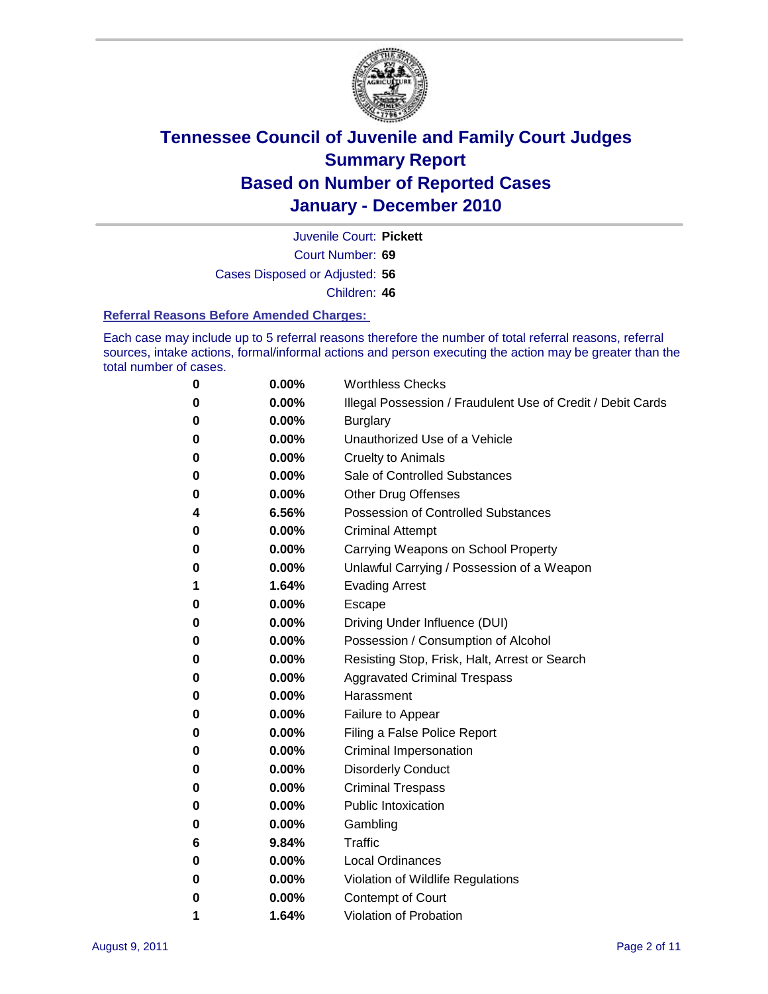

Court Number: **69** Juvenile Court: **Pickett** Cases Disposed or Adjusted: **56** Children: **46**

#### **Referral Reasons Before Amended Charges:**

Each case may include up to 5 referral reasons therefore the number of total referral reasons, referral sources, intake actions, formal/informal actions and person executing the action may be greater than the total number of cases.

| $\boldsymbol{0}$ | 0.00% | <b>Worthless Checks</b>                                     |
|------------------|-------|-------------------------------------------------------------|
| 0                | 0.00% | Illegal Possession / Fraudulent Use of Credit / Debit Cards |
| 0                | 0.00% | <b>Burglary</b>                                             |
| 0                | 0.00% | Unauthorized Use of a Vehicle                               |
| 0                | 0.00% | <b>Cruelty to Animals</b>                                   |
| 0                | 0.00% | Sale of Controlled Substances                               |
| 0                | 0.00% | <b>Other Drug Offenses</b>                                  |
| 4                | 6.56% | Possession of Controlled Substances                         |
| 0                | 0.00% | <b>Criminal Attempt</b>                                     |
| 0                | 0.00% | Carrying Weapons on School Property                         |
| 0                | 0.00% | Unlawful Carrying / Possession of a Weapon                  |
| 1                | 1.64% | <b>Evading Arrest</b>                                       |
| 0                | 0.00% | Escape                                                      |
| 0                | 0.00% | Driving Under Influence (DUI)                               |
| 0                | 0.00% | Possession / Consumption of Alcohol                         |
| 0                | 0.00% | Resisting Stop, Frisk, Halt, Arrest or Search               |
| 0                | 0.00% | <b>Aggravated Criminal Trespass</b>                         |
| 0                | 0.00% | Harassment                                                  |
| 0                | 0.00% | Failure to Appear                                           |
| 0                | 0.00% | Filing a False Police Report                                |
| 0                | 0.00% | Criminal Impersonation                                      |
| 0                | 0.00% | <b>Disorderly Conduct</b>                                   |
| 0                | 0.00% | <b>Criminal Trespass</b>                                    |
| 0                | 0.00% | <b>Public Intoxication</b>                                  |
| 0                | 0.00% | Gambling                                                    |
| 6                | 9.84% | Traffic                                                     |
| 0                | 0.00% | <b>Local Ordinances</b>                                     |
| 0                | 0.00% | Violation of Wildlife Regulations                           |
| 0                | 0.00% | Contempt of Court                                           |
| 1                | 1.64% | Violation of Probation                                      |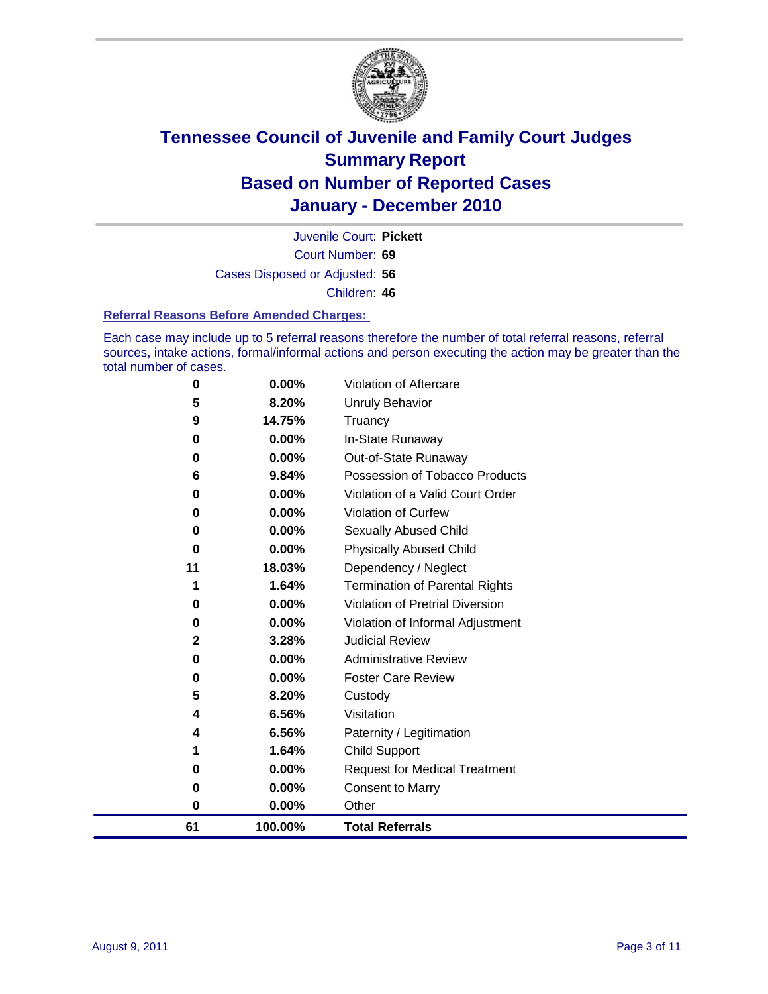

Court Number: **69** Juvenile Court: **Pickett** Cases Disposed or Adjusted: **56** Children: **46**

#### **Referral Reasons Before Amended Charges:**

Each case may include up to 5 referral reasons therefore the number of total referral reasons, referral sources, intake actions, formal/informal actions and person executing the action may be greater than the total number of cases.

| 61 | 100.00% | <b>Total Referrals</b>                 |
|----|---------|----------------------------------------|
| 0  | 0.00%   | Other                                  |
| 0  | 0.00%   | <b>Consent to Marry</b>                |
| 0  | 0.00%   | <b>Request for Medical Treatment</b>   |
| 1  | 1.64%   | <b>Child Support</b>                   |
| 4  | 6.56%   | Paternity / Legitimation               |
| 4  | 6.56%   | Visitation                             |
| 5  | 8.20%   | Custody                                |
| 0  | 0.00%   | <b>Foster Care Review</b>              |
| 0  | 0.00%   | <b>Administrative Review</b>           |
| 2  | 3.28%   | <b>Judicial Review</b>                 |
| 0  | 0.00%   | Violation of Informal Adjustment       |
| 0  | 0.00%   | <b>Violation of Pretrial Diversion</b> |
| 1  | 1.64%   | <b>Termination of Parental Rights</b>  |
| 11 | 18.03%  | Dependency / Neglect                   |
| 0  | 0.00%   | <b>Physically Abused Child</b>         |
| 0  | 0.00%   | <b>Sexually Abused Child</b>           |
| 0  | 0.00%   | Violation of Curfew                    |
| 0  | 0.00%   | Violation of a Valid Court Order       |
| 6  | 9.84%   | Possession of Tobacco Products         |
| 0  | 0.00%   | Out-of-State Runaway                   |
| 0  | 0.00%   | In-State Runaway                       |
| 9  | 14.75%  | Truancy                                |
| 5  | 8.20%   | Unruly Behavior                        |
| 0  | 0.00%   | Violation of Aftercare                 |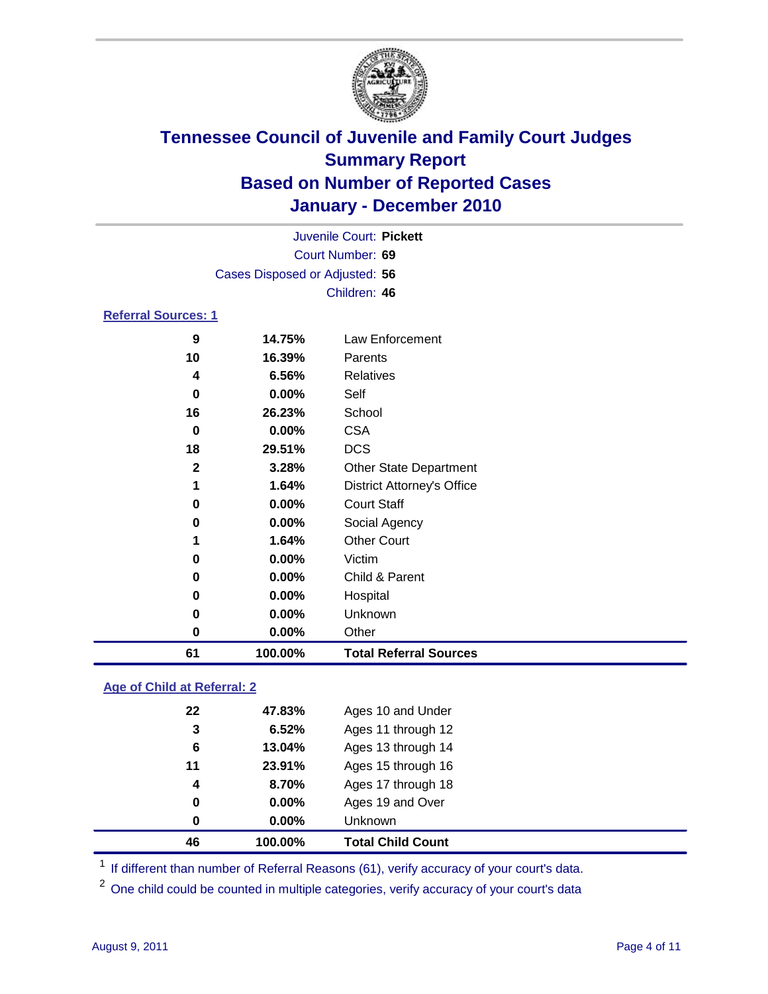

|                                |                  | Juvenile Court: Pickett           |  |  |  |
|--------------------------------|------------------|-----------------------------------|--|--|--|
|                                | Court Number: 69 |                                   |  |  |  |
| Cases Disposed or Adjusted: 56 |                  |                                   |  |  |  |
|                                | Children: 46     |                                   |  |  |  |
| <b>Referral Sources: 1</b>     |                  |                                   |  |  |  |
| 9                              | 14.75%           | Law Enforcement                   |  |  |  |
| 10                             | 16.39%           | Parents                           |  |  |  |
| 4                              | 6.56%            | <b>Relatives</b>                  |  |  |  |
| 0                              | 0.00%            | Self                              |  |  |  |
| 16                             | 26.23%           | School                            |  |  |  |
| 0                              | 0.00%            | <b>CSA</b>                        |  |  |  |
| 18                             | 29.51%           | <b>DCS</b>                        |  |  |  |
| $\mathbf{2}$                   | 3.28%            | <b>Other State Department</b>     |  |  |  |
| 1                              | 1.64%            | <b>District Attorney's Office</b> |  |  |  |
| $\bf{0}$                       | 0.00%            | <b>Court Staff</b>                |  |  |  |
| 0                              | 0.00%            | Social Agency                     |  |  |  |
| 1                              | 1.64%            | <b>Other Court</b>                |  |  |  |
| 0                              | 0.00%            | Victim                            |  |  |  |
| 0                              | 0.00%            | Child & Parent                    |  |  |  |
| 0                              | 0.00%            | Hospital                          |  |  |  |
| 0                              | 0.00%            | Unknown                           |  |  |  |
| $\bf{0}$                       | 0.00%            | Other                             |  |  |  |
| 61                             | 100.00%          | <b>Total Referral Sources</b>     |  |  |  |

### **Age of Child at Referral: 2**

| 46               | 100.00% | <b>Total Child Count</b> |
|------------------|---------|--------------------------|
| 0                | 0.00%   | Unknown                  |
| 0                | 0.00%   | Ages 19 and Over         |
| $\boldsymbol{4}$ | 8.70%   | Ages 17 through 18       |
| 11               | 23.91%  | Ages 15 through 16       |
| 6                | 13.04%  | Ages 13 through 14       |
| 3                | 6.52%   | Ages 11 through 12       |
| 22               | 47.83%  | Ages 10 and Under        |
|                  |         |                          |

<sup>1</sup> If different than number of Referral Reasons (61), verify accuracy of your court's data.

<sup>2</sup> One child could be counted in multiple categories, verify accuracy of your court's data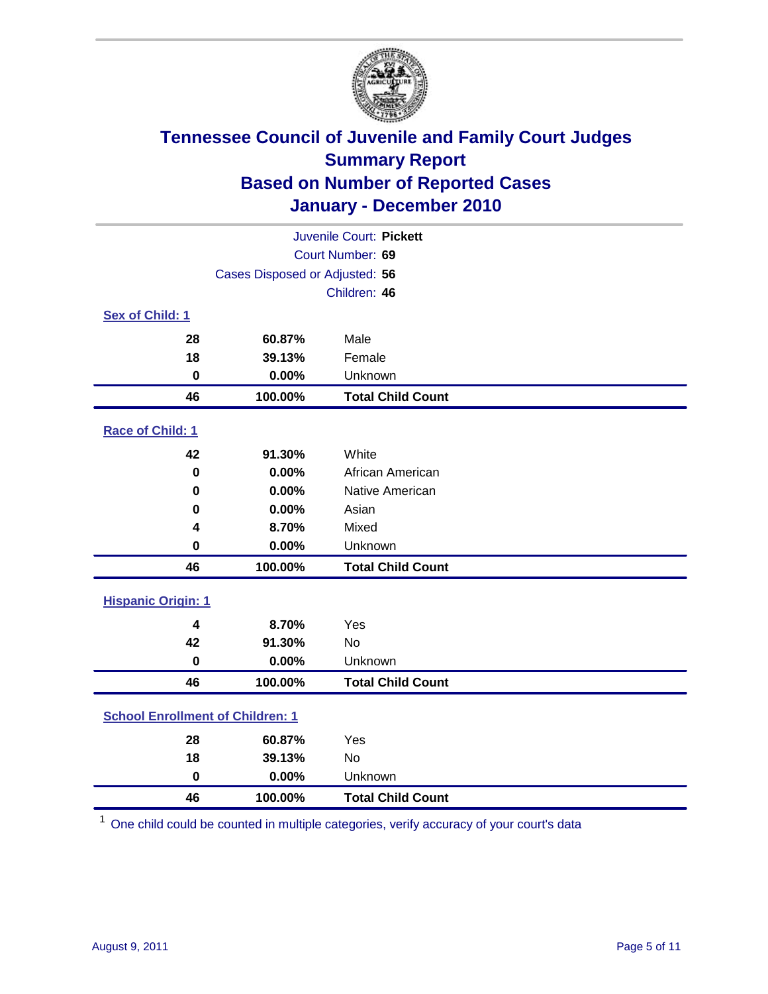

| Juvenile Court: Pickett                 |                                |                          |  |  |
|-----------------------------------------|--------------------------------|--------------------------|--|--|
|                                         | Court Number: 69               |                          |  |  |
|                                         | Cases Disposed or Adjusted: 56 |                          |  |  |
|                                         |                                | Children: 46             |  |  |
| Sex of Child: 1                         |                                |                          |  |  |
| 28                                      | 60.87%                         | Male                     |  |  |
| 18                                      | 39.13%                         | Female                   |  |  |
| $\mathbf 0$                             | 0.00%                          | Unknown                  |  |  |
| 46                                      | 100.00%                        | <b>Total Child Count</b> |  |  |
| Race of Child: 1                        |                                |                          |  |  |
| 42                                      | 91.30%                         | White                    |  |  |
| $\mathbf 0$                             | 0.00%                          | African American         |  |  |
| 0                                       | 0.00%                          | Native American          |  |  |
| 0                                       | 0.00%                          | Asian                    |  |  |
| 4                                       | 8.70%                          | Mixed                    |  |  |
| $\mathbf 0$                             | 0.00%                          | Unknown                  |  |  |
| 46                                      | 100.00%                        | <b>Total Child Count</b> |  |  |
| <b>Hispanic Origin: 1</b>               |                                |                          |  |  |
| 4                                       | 8.70%                          | Yes                      |  |  |
| 42                                      | 91.30%                         | No                       |  |  |
| $\mathbf 0$                             | 0.00%                          | Unknown                  |  |  |
| 46                                      | 100.00%                        | <b>Total Child Count</b> |  |  |
| <b>School Enrollment of Children: 1</b> |                                |                          |  |  |
|                                         |                                |                          |  |  |
| 28                                      | 60.87%                         | Yes                      |  |  |
| 18                                      | 39.13%                         | No                       |  |  |
| $\mathbf 0$                             | 0.00%                          | Unknown                  |  |  |
| 46                                      | 100.00%                        | <b>Total Child Count</b> |  |  |

One child could be counted in multiple categories, verify accuracy of your court's data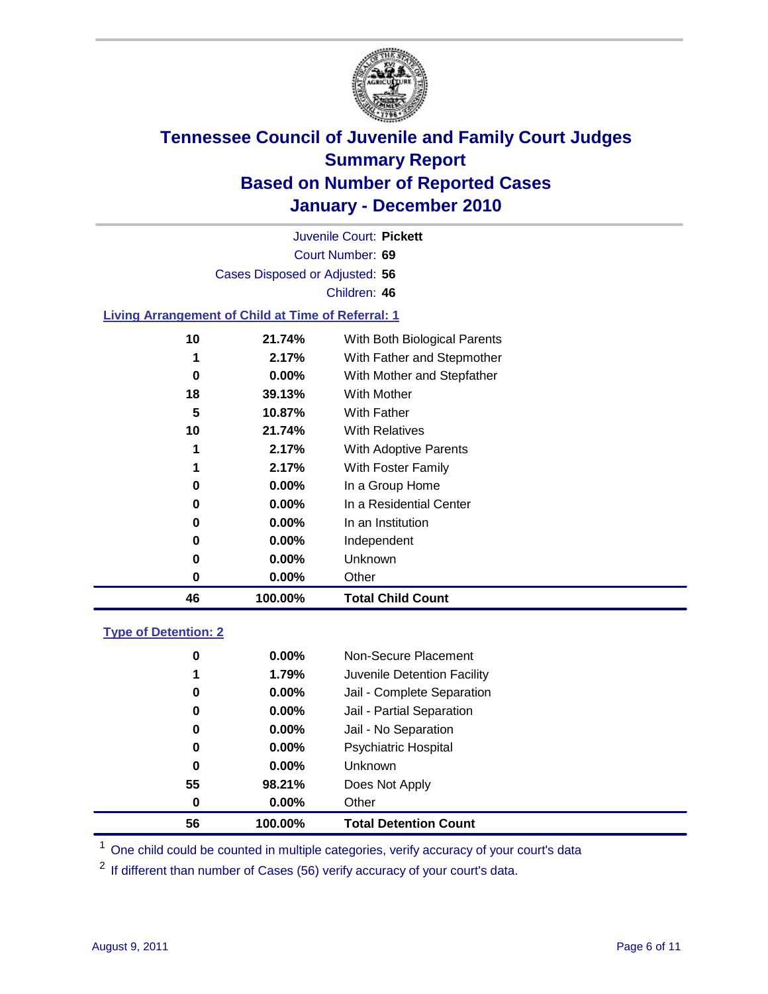

Court Number: **69** Juvenile Court: **Pickett** Cases Disposed or Adjusted: **56** Children: **46**

### **Living Arrangement of Child at Time of Referral: 1**

| 46 | 100.00%  | <b>Total Child Count</b>     |
|----|----------|------------------------------|
| 0  | 0.00%    | Other                        |
| 0  | $0.00\%$ | Unknown                      |
| 0  | $0.00\%$ | Independent                  |
| 0  | $0.00\%$ | In an Institution            |
| 0  | $0.00\%$ | In a Residential Center      |
| 0  | 0.00%    | In a Group Home              |
| 1  | 2.17%    | With Foster Family           |
| 1  | 2.17%    | With Adoptive Parents        |
| 10 | 21.74%   | <b>With Relatives</b>        |
| 5  | 10.87%   | With Father                  |
| 18 | 39.13%   | With Mother                  |
| 0  | 0.00%    | With Mother and Stepfather   |
| 1  | 2.17%    | With Father and Stepmother   |
| 10 | 21.74%   | With Both Biological Parents |
|    |          |                              |

#### **Type of Detention: 2**

| 56 | 100.00%  | <b>Total Detention Count</b> |  |
|----|----------|------------------------------|--|
| 0  | $0.00\%$ | Other                        |  |
| 55 | 98.21%   | Does Not Apply               |  |
| 0  | $0.00\%$ | <b>Unknown</b>               |  |
| 0  | 0.00%    | <b>Psychiatric Hospital</b>  |  |
| 0  | 0.00%    | Jail - No Separation         |  |
| 0  | $0.00\%$ | Jail - Partial Separation    |  |
| 0  | $0.00\%$ | Jail - Complete Separation   |  |
| 1  | 1.79%    | Juvenile Detention Facility  |  |
| 0  | $0.00\%$ | Non-Secure Placement         |  |
|    |          |                              |  |

<sup>1</sup> One child could be counted in multiple categories, verify accuracy of your court's data

<sup>2</sup> If different than number of Cases (56) verify accuracy of your court's data.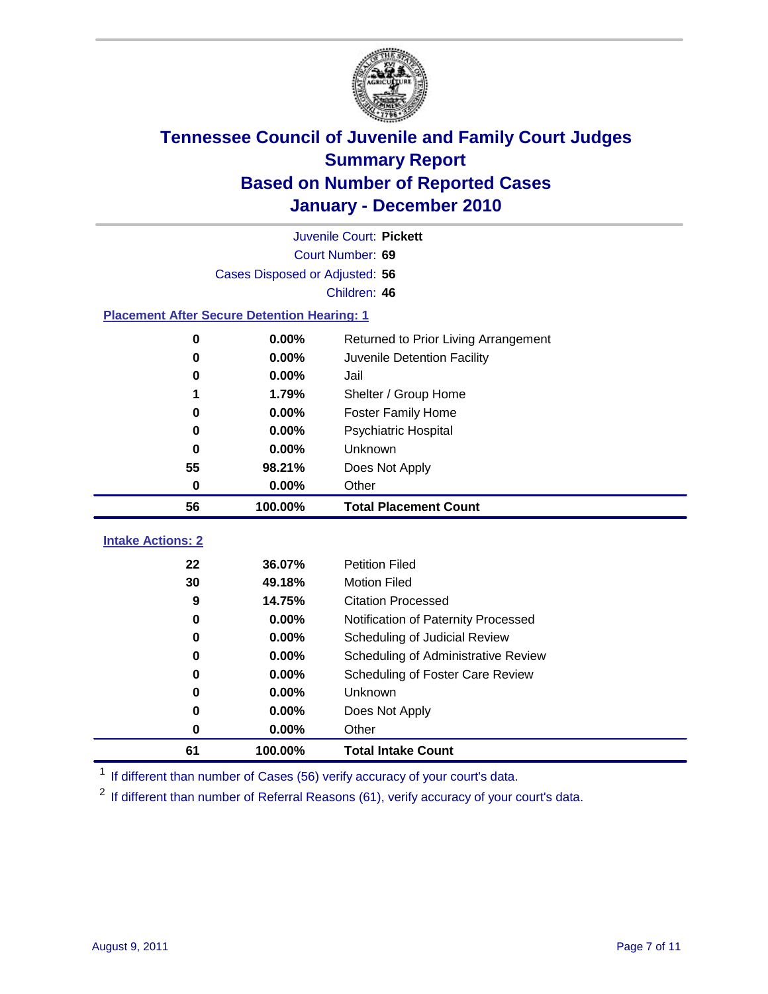

|                                                    | Juvenile Court: Pickett        |                                      |  |  |  |
|----------------------------------------------------|--------------------------------|--------------------------------------|--|--|--|
|                                                    | Court Number: 69               |                                      |  |  |  |
|                                                    | Cases Disposed or Adjusted: 56 |                                      |  |  |  |
|                                                    |                                | Children: 46                         |  |  |  |
| <b>Placement After Secure Detention Hearing: 1</b> |                                |                                      |  |  |  |
| $\mathbf 0$                                        | 0.00%                          | Returned to Prior Living Arrangement |  |  |  |
| $\bf{0}$                                           | 0.00%                          | Juvenile Detention Facility          |  |  |  |
| 0                                                  | 0.00%                          | Jail                                 |  |  |  |
|                                                    | 1.79%                          | Shelter / Group Home                 |  |  |  |
| $\bf{0}$                                           | 0.00%                          | <b>Foster Family Home</b>            |  |  |  |
| $\bf{0}$                                           | 0.00%                          | Psychiatric Hospital                 |  |  |  |
| 0                                                  | 0.00%                          | <b>Unknown</b>                       |  |  |  |
| 55                                                 | 98.21%                         | Does Not Apply                       |  |  |  |
| $\mathbf 0$                                        | 0.00%                          | Other                                |  |  |  |
| 56                                                 | 100.00%                        | <b>Total Placement Count</b>         |  |  |  |
|                                                    |                                |                                      |  |  |  |
| <b>Intake Actions: 2</b>                           |                                |                                      |  |  |  |
| 22                                                 | 36.07%                         | <b>Petition Filed</b>                |  |  |  |
| 30                                                 | 49.18%                         | <b>Motion Filed</b>                  |  |  |  |
| 9                                                  | 14.75%                         | <b>Citation Processed</b>            |  |  |  |
| $\bf{0}$                                           | $0.00\%$                       | Notification of Paternity Processed  |  |  |  |
| $\bf{0}$                                           | 0.00%                          | Scheduling of Judicial Review        |  |  |  |
| 0                                                  | 0.00%                          | Scheduling of Administrative Review  |  |  |  |
| 0                                                  | 0.00%                          | Scheduling of Foster Care Review     |  |  |  |
| $\bf{0}$                                           | 0.00%                          | Unknown                              |  |  |  |
| 0                                                  | 0.00%                          | Does Not Apply                       |  |  |  |
| 0                                                  | 0.00%                          | Other                                |  |  |  |
| 61                                                 | 100.00%                        | <b>Total Intake Count</b>            |  |  |  |

<sup>1</sup> If different than number of Cases (56) verify accuracy of your court's data.

<sup>2</sup> If different than number of Referral Reasons (61), verify accuracy of your court's data.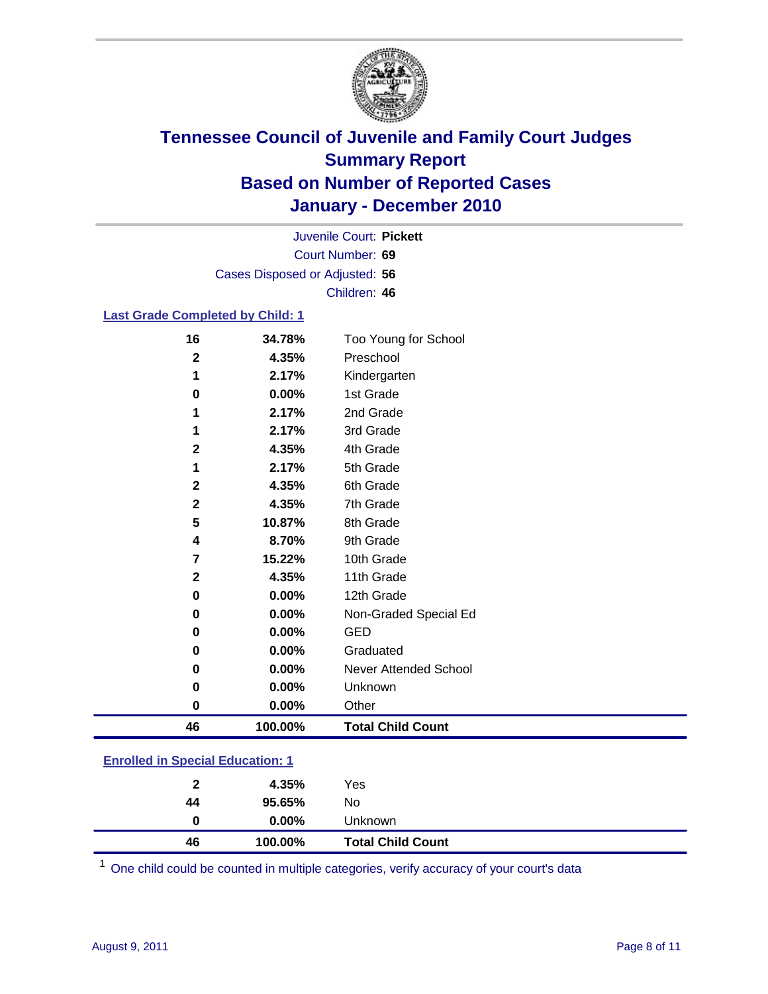

Court Number: **69** Juvenile Court: **Pickett** Cases Disposed or Adjusted: **56** Children: **46**

### **Last Grade Completed by Child: 1**

| 16                      | 34.78%  | Too Young for School     |
|-------------------------|---------|--------------------------|
| $\overline{\mathbf{2}}$ | 4.35%   | Preschool                |
| 1                       | 2.17%   | Kindergarten             |
| $\pmb{0}$               | 0.00%   | 1st Grade                |
| 1                       | 2.17%   | 2nd Grade                |
| 1                       | 2.17%   | 3rd Grade                |
| $\mathbf 2$             | 4.35%   | 4th Grade                |
| 1                       | 2.17%   | 5th Grade                |
| 2                       | 4.35%   | 6th Grade                |
| 2                       | 4.35%   | 7th Grade                |
| 5                       | 10.87%  | 8th Grade                |
| 4                       | 8.70%   | 9th Grade                |
| 7                       | 15.22%  | 10th Grade               |
| $\mathbf 2$             | 4.35%   | 11th Grade               |
| 0                       | 0.00%   | 12th Grade               |
| 0                       | 0.00%   | Non-Graded Special Ed    |
| 0                       | 0.00%   | <b>GED</b>               |
| 0                       | 0.00%   | Graduated                |
| 0                       | 0.00%   | Never Attended School    |
| 0                       | 0.00%   | Unknown                  |
| $\pmb{0}$               | 0.00%   | Other                    |
| 46                      | 100.00% | <b>Total Child Count</b> |
|                         |         |                          |

### **Enrolled in Special Education: 1**

| $\mathbf{2}$ | 4.35%    | Yes                      |
|--------------|----------|--------------------------|
| 44           | 95.65%   | No                       |
|              | $0.00\%$ | <b>Unknown</b>           |
| 46           | 100.00%  | <b>Total Child Count</b> |

One child could be counted in multiple categories, verify accuracy of your court's data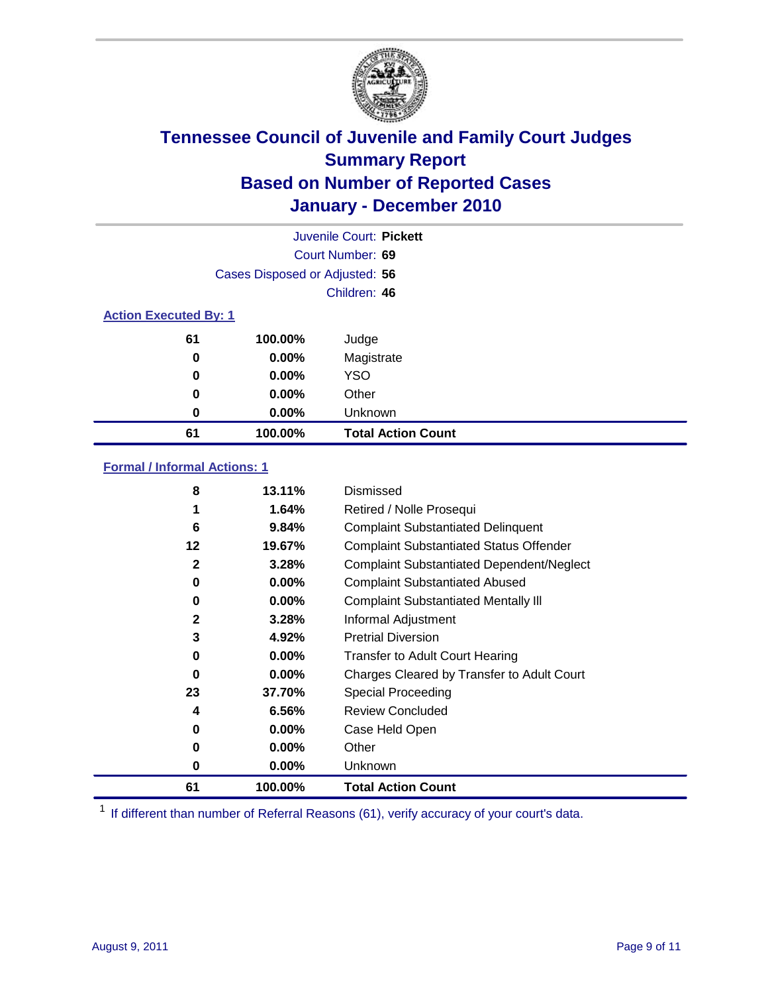

|    |                                | Juvenile Court: Pickett   |  |  |  |
|----|--------------------------------|---------------------------|--|--|--|
|    |                                | Court Number: 69          |  |  |  |
|    | Cases Disposed or Adjusted: 56 |                           |  |  |  |
|    |                                | Children: 46              |  |  |  |
|    | <b>Action Executed By: 1</b>   |                           |  |  |  |
| 61 | 100.00%                        | Judge                     |  |  |  |
| 0  | $0.00\%$                       | Magistrate                |  |  |  |
| 0  | $0.00\%$                       | <b>YSO</b>                |  |  |  |
| 0  | $0.00\%$                       | Other                     |  |  |  |
| 0  | 0.00%                          | Unknown                   |  |  |  |
| 61 | 100.00%                        | <b>Total Action Count</b> |  |  |  |

### **Formal / Informal Actions: 1**

| 8            | 13.11%   | Dismissed                                        |
|--------------|----------|--------------------------------------------------|
| 1            | 1.64%    | Retired / Nolle Prosequi                         |
| 6            | 9.84%    | <b>Complaint Substantiated Delinquent</b>        |
| 12           | 19.67%   | <b>Complaint Substantiated Status Offender</b>   |
| $\mathbf{2}$ | 3.28%    | <b>Complaint Substantiated Dependent/Neglect</b> |
| 0            | $0.00\%$ | <b>Complaint Substantiated Abused</b>            |
| 0            | $0.00\%$ | <b>Complaint Substantiated Mentally III</b>      |
| $\mathbf{2}$ | 3.28%    | Informal Adjustment                              |
| 3            | 4.92%    | <b>Pretrial Diversion</b>                        |
| 0            | $0.00\%$ | <b>Transfer to Adult Court Hearing</b>           |
| $\bf{0}$     | $0.00\%$ | Charges Cleared by Transfer to Adult Court       |
| 23           | 37.70%   | Special Proceeding                               |
| 4            | 6.56%    | <b>Review Concluded</b>                          |
| 0            | $0.00\%$ | Case Held Open                                   |
| 0            | $0.00\%$ | Other                                            |
| 0            | 0.00%    | <b>Unknown</b>                                   |
| 61           | 100.00%  | <b>Total Action Count</b>                        |

<sup>1</sup> If different than number of Referral Reasons (61), verify accuracy of your court's data.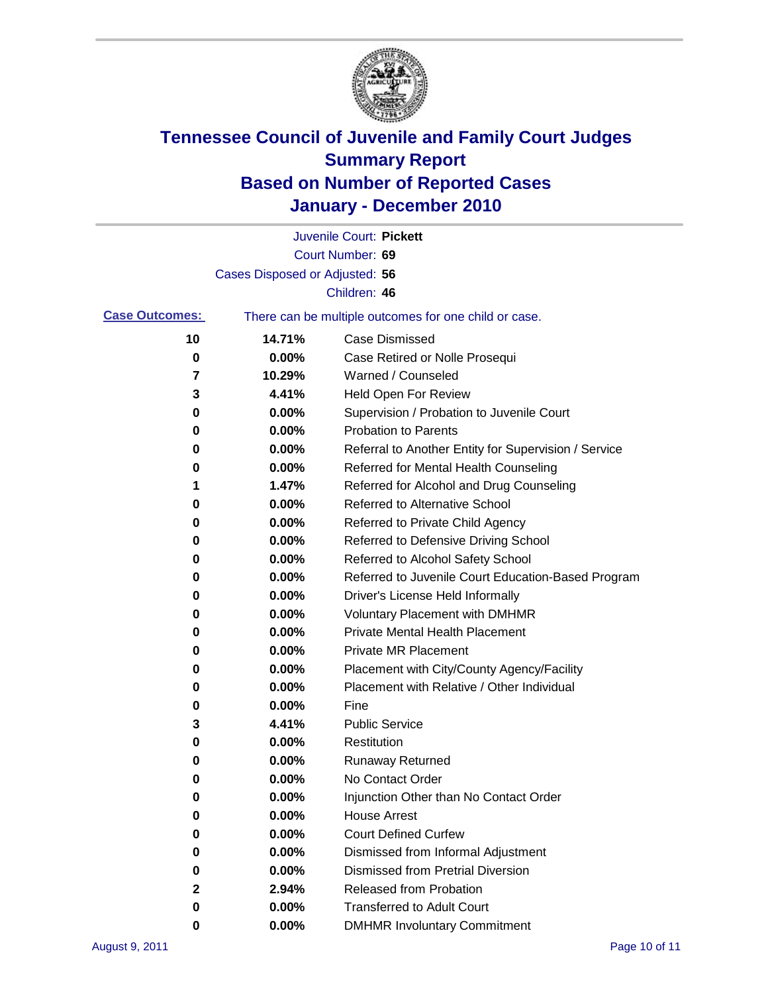

|                       |                                | Juvenile Court: Pickett                               |
|-----------------------|--------------------------------|-------------------------------------------------------|
|                       |                                | Court Number: 69                                      |
|                       | Cases Disposed or Adjusted: 56 |                                                       |
|                       |                                | Children: 46                                          |
| <b>Case Outcomes:</b> |                                | There can be multiple outcomes for one child or case. |
| 10                    | 14.71%                         | <b>Case Dismissed</b>                                 |
| 0                     | 0.00%                          | Case Retired or Nolle Prosequi                        |
| 7                     | 10.29%                         | Warned / Counseled                                    |
| 3                     | 4.41%                          | Held Open For Review                                  |
| 0                     | 0.00%                          | Supervision / Probation to Juvenile Court             |
| 0                     | 0.00%                          | <b>Probation to Parents</b>                           |
| 0                     | 0.00%                          | Referral to Another Entity for Supervision / Service  |
| 0                     | 0.00%                          | Referred for Mental Health Counseling                 |
| 1                     | 1.47%                          | Referred for Alcohol and Drug Counseling              |
| 0                     | 0.00%                          | Referred to Alternative School                        |
| 0                     | 0.00%                          | Referred to Private Child Agency                      |
| 0                     | 0.00%                          | Referred to Defensive Driving School                  |
| 0                     | 0.00%                          | Referred to Alcohol Safety School                     |
| 0                     | 0.00%                          | Referred to Juvenile Court Education-Based Program    |
| 0                     | 0.00%                          | Driver's License Held Informally                      |
| 0                     | 0.00%                          | <b>Voluntary Placement with DMHMR</b>                 |
| 0                     | 0.00%                          | <b>Private Mental Health Placement</b>                |
| 0                     | 0.00%                          | <b>Private MR Placement</b>                           |
| 0                     | 0.00%                          | Placement with City/County Agency/Facility            |
| 0                     | 0.00%                          | Placement with Relative / Other Individual            |
| 0                     | 0.00%                          | Fine                                                  |
| 3                     | 4.41%                          | <b>Public Service</b>                                 |
| 0                     | 0.00%                          | Restitution                                           |
| 0                     | 0.00%                          | <b>Runaway Returned</b>                               |
| 0                     | 0.00%                          | No Contact Order                                      |
| 0                     | 0.00%                          | Injunction Other than No Contact Order                |
| 0                     | 0.00%                          | <b>House Arrest</b>                                   |
| 0                     | 0.00%                          | <b>Court Defined Curfew</b>                           |
| 0                     | 0.00%                          | Dismissed from Informal Adjustment                    |
| 0                     | 0.00%                          | <b>Dismissed from Pretrial Diversion</b>              |
| 2                     | 2.94%                          | Released from Probation                               |
| 0                     | 0.00%                          | <b>Transferred to Adult Court</b>                     |
| 0                     | 0.00%                          | <b>DMHMR Involuntary Commitment</b>                   |